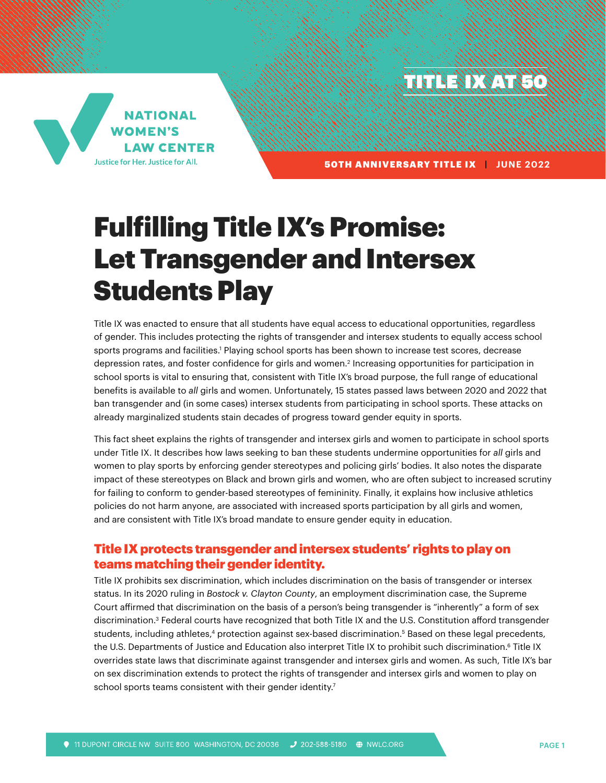THE **IX AT 50** 



50TH ANNIVERSARY TITLE IX **| JUNE 2022** 

# Fulfilling Title IX's Promise: Let Transgender and Intersex Students Play

Title IX was enacted to ensure that all students have equal access to educational opportunities, regardless of gender. This includes protecting the rights of transgender and intersex students to equally access school sports programs and facilities.<sup>1</sup> Playing school sports has been shown to increase test scores, decrease depression rates, and foster confidence for girls and women.<sup>2</sup> Increasing opportunities for participation in school sports is vital to ensuring that, consistent with Title IX's broad purpose, the full range of educational benefits is available to *all* girls and women. Unfortunately, 15 states passed laws between 2020 and 2022 that ban transgender and (in some cases) intersex students from participating in school sports. These attacks on already marginalized students stain decades of progress toward gender equity in sports.

This fact sheet explains the rights of transgender and intersex girls and women to participate in school sports under Title IX. It describes how laws seeking to ban these students undermine opportunities for *all* girls and women to play sports by enforcing gender stereotypes and policing girls' bodies. It also notes the disparate impact of these stereotypes on Black and brown girls and women, who are often subject to increased scrutiny for failing to conform to gender-based stereotypes of femininity. Finally, it explains how inclusive athletics policies do not harm anyone, are associated with increased sports participation by all girls and women, and are consistent with Title IX's broad mandate to ensure gender equity in education.

# Title IX protects transgender and intersex students' rights to play on teams matching their gender identity.

Title IX prohibits sex discrimination, which includes discrimination on the basis of transgender or intersex status. In its 2020 ruling in *Bostock v. Clayton County*, an employment discrimination case, the Supreme Court affirmed that discrimination on the basis of a person's being transgender is "inherently" a form of sex discrimination.3 Federal courts have recognized that both Title IX and the U.S. Constitution afford transgender students, including athletes,<sup>4</sup> protection against sex-based discrimination.<sup>5</sup> Based on these legal precedents, the U.S. Departments of Justice and Education also interpret Title IX to prohibit such discrimination.<sup>6</sup> Title IX overrides state laws that discriminate against transgender and intersex girls and women. As such, Title IX's bar on sex discrimination extends to protect the rights of transgender and intersex girls and women to play on school sports teams consistent with their gender identity.<sup>7</sup>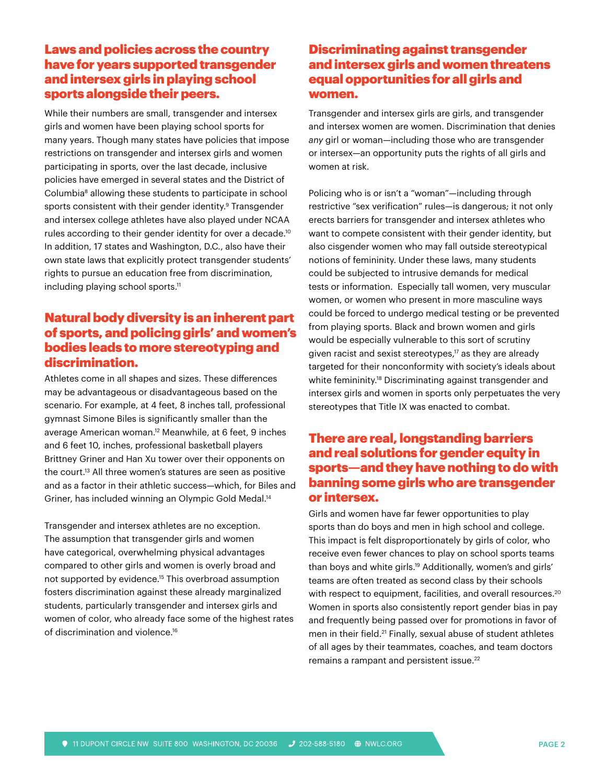# Laws and policies across the country have for years supported transgender and intersex girls in playing school sports alongside their peers.

While their numbers are small, transgender and intersex girls and women have been playing school sports for many years. Though many states have policies that impose restrictions on transgender and intersex girls and women participating in sports, over the last decade, inclusive policies have emerged in several states and the District of Columbia<sup>8</sup> allowing these students to participate in school sports consistent with their gender identity.<sup>9</sup> Transgender and intersex college athletes have also played under NCAA rules according to their gender identity for over a decade.<sup>10</sup> In addition, 17 states and Washington, D.C., also have their own state laws that explicitly protect transgender students' rights to pursue an education free from discrimination, including playing school sports.<sup>11</sup>

# Natural body diversity is an inherent part of sports, and policing girls' and women's bodies leads to more stereotyping and discrimination.

Athletes come in all shapes and sizes. These differences may be advantageous or disadvantageous based on the scenario. For example, at 4 feet, 8 inches tall, professional gymnast Simone Biles is significantly smaller than the average American woman.<sup>12</sup> Meanwhile, at 6 feet, 9 inches and 6 feet 10, inches, professional basketball players Brittney Griner and Han Xu tower over their opponents on the court.<sup>13</sup> All three women's statures are seen as positive and as a factor in their athletic success—which, for Biles and Griner, has included winning an Olympic Gold Medal.14

Transgender and intersex athletes are no exception. The assumption that transgender girls and women have categorical, overwhelming physical advantages compared to other girls and women is overly broad and not supported by evidence.<sup>15</sup> This overbroad assumption fosters discrimination against these already marginalized students, particularly transgender and intersex girls and women of color, who already face some of the highest rates of discrimination and violence.<sup>16</sup>

# Discriminating against transgender and intersex girls and women threatens equal opportunities for all girls and women.

Transgender and intersex girls are girls, and transgender and intersex women are women. Discrimination that denies *any* girl or woman—including those who are transgender or intersex—an opportunity puts the rights of all girls and women at risk.

Policing who is or isn't a "woman"—including through restrictive "sex verification" rules—is dangerous; it not only erects barriers for transgender and intersex athletes who want to compete consistent with their gender identity, but also cisgender women who may fall outside stereotypical notions of femininity. Under these laws, many students could be subjected to intrusive demands for medical tests or information. Especially tall women, very muscular women, or women who present in more masculine ways could be forced to undergo medical testing or be prevented from playing sports. Black and brown women and girls would be especially vulnerable to this sort of scrutiny given racist and sexist stereotypes,<sup>17</sup> as they are already targeted for their nonconformity with society's ideals about white femininity.<sup>18</sup> Discriminating against transgender and intersex girls and women in sports only perpetuates the very stereotypes that Title IX was enacted to combat.

# There are real, longstanding barriers and real solutions for gender equity in sports—and they have nothing to do with banning some girls who are transgender or intersex.

Girls and women have far fewer opportunities to play sports than do boys and men in high school and college. This impact is felt disproportionately by girls of color, who receive even fewer chances to play on school sports teams than boys and white girls.19 Additionally, women's and girls' teams are often treated as second class by their schools with respect to equipment, facilities, and overall resources.<sup>20</sup> Women in sports also consistently report gender bias in pay and frequently being passed over for promotions in favor of men in their field.<sup>21</sup> Finally, sexual abuse of student athletes of all ages by their teammates, coaches, and team doctors remains a rampant and persistent issue.<sup>22</sup>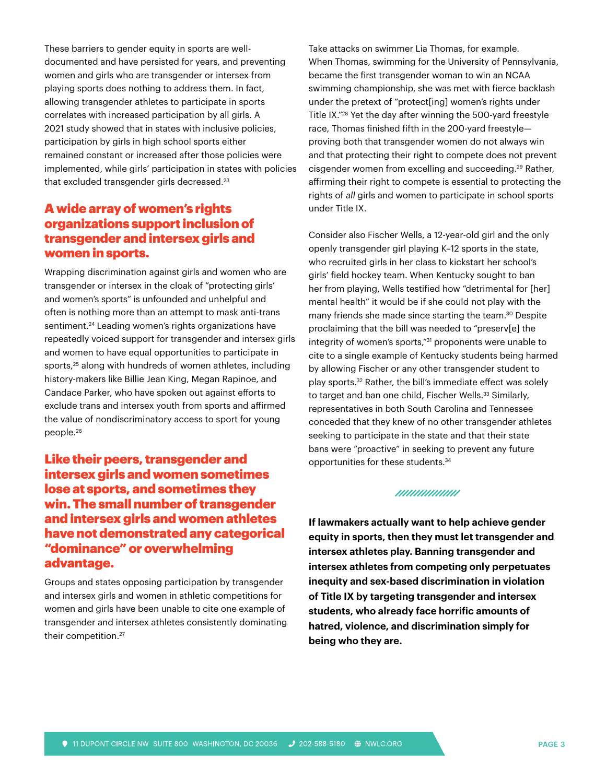These barriers to gender equity in sports are welldocumented and have persisted for years, and preventing women and girls who are transgender or intersex from playing sports does nothing to address them. In fact, allowing transgender athletes to participate in sports correlates with increased participation by all girls. A 2021 study showed that in states with inclusive policies, participation by girls in high school sports either remained constant or increased after those policies were implemented, while girls' participation in states with policies that excluded transgender girls decreased.<sup>23</sup>

# A wide array of women's rights organizations support inclusion of transgender and intersex girls and women in sports.

Wrapping discrimination against girls and women who are transgender or intersex in the cloak of "protecting girls' and women's sports" is unfounded and unhelpful and often is nothing more than an attempt to mask anti-trans sentiment.<sup>24</sup> Leading women's rights organizations have repeatedly voiced support for transgender and intersex girls and women to have equal opportunities to participate in sports,<sup>25</sup> along with hundreds of women athletes, including history-makers like Billie Jean King, Megan Rapinoe, and Candace Parker, who have spoken out against efforts to exclude trans and intersex youth from sports and affirmed the value of nondiscriminatory access to sport for young people.26

# Like their peers, transgender and intersex girls and women sometimes lose at sports, and sometimes they win. The small number of transgender and intersex girls and women athletes have not demonstrated any categorical "dominance" or overwhelming advantage.

Groups and states opposing participation by transgender and intersex girls and women in athletic competitions for women and girls have been unable to cite one example of transgender and intersex athletes consistently dominating their competition.27

Take attacks on swimmer Lia Thomas, for example. When Thomas, swimming for the University of Pennsylvania, became the first transgender woman to win an NCAA swimming championship, she was met with fierce backlash under the pretext of "protect[ing] women's rights under Title IX."28 Yet the day after winning the 500-yard freestyle race, Thomas finished fifth in the 200-yard freestyle proving both that transgender women do not always win and that protecting their right to compete does not prevent cisgender women from excelling and succeeding.29 Rather, affirming their right to compete is essential to protecting the rights of *all* girls and women to participate in school sports under Title IX.

Consider also Fischer Wells, a 12-year-old girl and the only openly transgender girl playing K–12 sports in the state, who recruited girls in her class to kickstart her school's girls' field hockey team. When Kentucky sought to ban her from playing, Wells testified how "detrimental for [her] mental health" it would be if she could not play with the many friends she made since starting the team.<sup>30</sup> Despite proclaiming that the bill was needed to "preserv[e] the integrity of women's sports,"31 proponents were unable to cite to a single example of Kentucky students being harmed by allowing Fischer or any other transgender student to play sports.<sup>32</sup> Rather, the bill's immediate effect was solely to target and ban one child, Fischer Wells.<sup>33</sup> Similarly, representatives in both South Carolina and Tennessee conceded that they knew of no other transgender athletes seeking to participate in the state and that their state bans were "proactive" in seeking to prevent any future opportunities for these students.34

#### /////////////////

**If lawmakers actually want to help achieve gender equity in sports, then they must let transgender and intersex athletes play. Banning transgender and intersex athletes from competing only perpetuates inequity and sex-based discrimination in violation of Title IX by targeting transgender and intersex students, who already face horrific amounts of hatred, violence, and discrimination simply for being who they are.**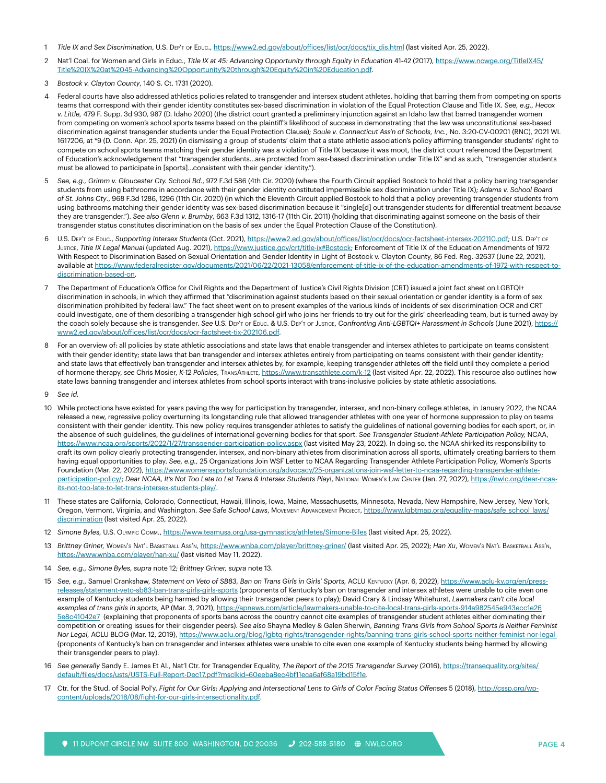- 1 Title IX and Sex Discrimination, U.S. DEP'T of Ebuc., [https://www2.ed.gov/about/offices/list/ocr/docs/tix\\_dis.html](https://www2.ed.gov/about/offices/list/ocr/docs/tix_dis.html) (last visited Apr. 25, 2022).
- 2 Nat'l Coal. for Women and Girls in Educ., *Title IX at 45: Advancing Opportunity through Equity in Education* 41-42 (2017), [https://www.ncwge.org/TitleIX45/](https://www.ncwge.org/TitleIX45/Title%20IX%20at%2045-Advancing%20Opportunity%20through%20Equity%20in%20Education.pdf) [Title%20IX%20at%2045-Advancing%20Opportunity%20through%20Equity%20in%20Education.pdf.](https://www.ncwge.org/TitleIX45/Title%20IX%20at%2045-Advancing%20Opportunity%20through%20Equity%20in%20Education.pdf)
- 3 *Bostock v. Clayton County*, 140 S. Ct. 1731 (2020).
- 4 Federal courts have also addressed athletics policies related to transgender and intersex student athletes, holding that barring them from competing on sports teams that correspond with their gender identity constitutes sex-based discrimination in violation of the Equal Protection Clause and Title IX. *See, e.g., Hecox v. Little,* 479 F. Supp. 3d 930, 987 (D. Idaho 2020) (the district court granted a preliminary injunction against an Idaho law that barred transgender women from competing on women's school sports teams based on the plaintiff's likelihood of success in demonstrating that the law was unconstitutional sex-based discrimination against transgender students under the Equal Protection Clause); *Soule v. Connecticut Ass'n of Schools, Inc.*, No. 3:20-CV-00201 (RNC), 2021 WL 1617206, at \*9 (D. Conn. Apr. 25, 2021) (in dismissing a group of students' claim that a state athletic association's policy affirming transgender students' right to compete on school sports teams matching their gender identity was a violation of Title IX because it was moot, the district court referenced the Department of Education's acknowledgement that "transgender students…are protected from sex-based discrimination under Title IX" and as such, "transgender students must be allowed to participate in [sports]…consistent with their gender identity.").
- 5 *See, e.g., Grimm v. Gloucester Cty. School Bd.*, 972 F.3d 586 (4th Cir. 2020) (where the Fourth Circuit applied Bostock to hold that a policy barring transgender students from using bathrooms in accordance with their gender identity constituted impermissible sex discrimination under Title IX); *Adams v. School Board of St. Johns Cty*., 968 F.3d 1286, 1296 (11th Cir. 2020) (in which the Eleventh Circuit applied Bostock to hold that a policy preventing transgender students from using bathrooms matching their gender identity was sex-based discrimination because it "single[d] out transgender students for differential treatment *because* they are transgender."). *See also Glenn v. Brumby*, 663 F.3d 1312, 1316-17 (11th Cir. 2011) (holding that discriminating against someone on the basis of their transgender status constitutes discrimination on the basis of sex under the Equal Protection Clause of the Constitution).
- 6 U.S. Dep't of Educ., *Supporting Intersex Students* (Oct. 2021),<https://www2.ed.gov/about/offices/list/ocr/docs/ocr-factsheet-intersex-202110.pdf>; U.S. Dep't of JUSTICE, Title IX Legal Manual (updated Aug. 2021), [https://www.justice.gov/crt/title-ix#Bostock;](https://www.justice.gov/crt/title-ix#Bostock) Enforcement of Title IX of the Education Amendments of 1972 With Respect to Discrimination Based on Sexual Orientation and Gender Identity in Light of Bostock v. Clayton County, 86 Fed. Reg. 32637 (June 22, 2021), available at [https://www.federalregister.gov/documents/2021/06/22/2021-13058/enforcement-of-title-ix-of-the-education-amendments-of-1972-with-respect-to](https://www.federalregister.gov/documents/2021/06/22/2021-13058/enforcement-of-title-ix-of-the-education-amendments-of-1972-with-respect-to-discrimination-based-on)[discrimination-based-on](https://www.federalregister.gov/documents/2021/06/22/2021-13058/enforcement-of-title-ix-of-the-education-amendments-of-1972-with-respect-to-discrimination-based-on).
- 7 The Department of Education's Office for Civil Rights and the Department of Justice's Civil Rights Division (CRT) issued a joint fact sheet on LGBTQI+ discrimination in schools, in which they affirmed that "discrimination against students based on their sexual orientation or gender identity is a form of sex discrimination prohibited by federal law." The fact sheet went on to present examples of the various kinds of incidents of sex discrimination OCR and CRT could investigate, one of them describing a transgender high school girl who joins her friends to try out for the girls' cheerleading team, but is turned away by the coach solely because she is transgender. *See* U.S. Dep't of Educ. & U.S. Dep't of Justice, *Confronting Anti-LGBTQI+ Harassment in Schools* (June 2021), [https://](https://www2.ed.gov/about/offices/list/ocr/docs/ocr-factsheet-tix-202106.pdf) [www2.ed.gov/about/offices/list/ocr/docs/ocr-factsheet-tix-202106.pdf](https://www2.ed.gov/about/offices/list/ocr/docs/ocr-factsheet-tix-202106.pdf).
- 8 For an overview of: all policies by state athletic associations and state laws that enable transgender and intersex athletes to participate on teams consistent with their gender identity; state laws that ban transgender and intersex athletes entirely from participating on teams consistent with their gender identity; and state laws that effectively ban transgender and intersex athletes by, for example, keeping transgender athletes off the field until they complete a period of hormone therapy, *see* Chris Mosier, *K-12 Policies*, TransAthlete, <https://www.transathlete.com/k-12>(last visited Apr. 22, 2022). This resource also outlines how state laws banning transgender and intersex athletes from school sports interact with trans-inclusive policies by state athletic associations.
- 9 *See id.*
- 10 While protections have existed for years paving the way for participation by transgender, intersex, and non-binary college athletes, in January 2022, the NCAA released a new, regressive policy overturning its longstanding rule that allowed transgender athletes with one year of hormone suppression to play on teams consistent with their gender identity. This new policy requires transgender athletes to satisfy the guidelines of national governing bodies for each sport, or, in the absence of such guidelines, the guidelines of international governing bodies for that sport. *See Transgender Student-Athlete Participation Policy,* NCAA, <https://www.ncaa.org/sports/2022/1/27/transgender-participation-policy.aspx>(last visited May 23, 2022). In doing so, the NCAA shirked its responsibility to craft its own policy clearly protecting transgender, intersex, and non-binary athletes from discrimination across all sports, ultimately creating barriers to them having equal opportunities to play. *See, e.g.,* 25 Organizations Join WSF Letter to NCAA Regarding Transgender Athlete Participation Policy, Women's Sports Foundation (Mar. 22, 2022), [https://www.womenssportsfoundation.org/advocacy/25-organizations-join-wsf-letter-to-ncaa-regarding-transgender-athlete](https://www.womenssportsfoundation.org/advocacy/25-organizations-join-wsf-letter-to-ncaa-regarding-transgender-athlete-participation-policy/)[participation-policy/;](https://www.womenssportsfoundation.org/advocacy/25-organizations-join-wsf-letter-to-ncaa-regarding-transgender-athlete-participation-policy/) Dear NCAA, It's Not Too Late to Let Trans & Intersex Students Play!, NATIONAL WOMEN's LAW CENTER (Jan. 27, 2022), [https://nwlc.org/dear-ncaa](https://nwlc.org/dear-ncaa-its-not-too-late-to-let-trans-intersex-students-play/)[its-not-too-late-to-let-trans-intersex-students-play/](https://nwlc.org/dear-ncaa-its-not-too-late-to-let-trans-intersex-students-play/).
- 11 These states are California, Colorado, Connecticut, Hawaii, Illinois, Iowa, Maine, Massachusetts, Minnesota, Nevada, New Hampshire, New Jersey, New York, Oregon, Vermont, Virginia, and Washington. *See Safe School Laws*, Movement Advancement Project, [https://www.lgbtmap.org/equality-maps/safe\\_school\\_laws/](https://www.lgbtmap.org/equality-maps/safe_school_laws/discrimination) [discrimination](https://www.lgbtmap.org/equality-maps/safe_school_laws/discrimination) (last visited Apr. 25, 2022).
- 12 *Simone Byles,* U.S. Olympic Comm.,<https://www.teamusa.org/usa-gymnastics/athletes/Simone-Biles>(last visited Apr. 25, 2022).
- 13 *Brittney Griner,* Women's Nat'l Basketball Ass'n, <https://www.wnba.com/player/brittney-griner/>(last visited Apr. 25, 2022); *Han Xu*, Women's Nat'l Basketball Ass'n, <https://www.wnba.com/player/han-xu/> (last visited May 11, 2022).
- 14 *See, e.g., Simone Byles, supra* note 12; *Brittney Griner, supra* note 13.
- 15 *See, e.g.,* Samuel Crankshaw, *Statement on Veto of SB83, Ban on Trans Girls in Girls' Sports,* ACLU Kentucky (Apr. 6, 2022), [https://www.aclu-ky.org/en/press](https://www.aclu-ky.org/en/press-releases/statement-veto-sb83-ban-trans-girls-girls-sports)[releases/statement-veto-sb83-ban-trans-girls-girls-sports](https://www.aclu-ky.org/en/press-releases/statement-veto-sb83-ban-trans-girls-girls-sports) (proponents of Kentucky's ban on transgender and intersex athletes were unable to cite even one example of Kentucky students being harmed by allowing their transgender peers to play); David Crary & Lindsay Whitehurst, *Lawmakers can't cite local examples of trans girls in sports,* AP (Mar. 3, 2021), [https://apnews.com/article/lawmakers-unable-to-cite-local-trans-girls-sports-914a982545e943ecc1e26](https://apnews.com/article/lawmakers-unable-to-cite-local-trans-girls-sports-914a982545e943ecc1e265e8c41042e7) [5e8c41042e7](https://apnews.com/article/lawmakers-unable-to-cite-local-trans-girls-sports-914a982545e943ecc1e265e8c41042e7) (explaining that proponents of sports bans across the country cannot cite examples of transgender student athletes either dominating their competition or creating issues for their cisgender peers). *See also* Shayna Medley & Galen Sherwin, *Banning Trans Girls from School Sports is Neither Feminist Nor Legal,* ACLU BLOG (Mar. 12, 2019),<https://www.aclu.org/blog/lgbtq-rights/transgender-rights/banning-trans-girls-school-sports-neither-feminist-nor-legal> (proponents of Kentucky's ban on transgender and intersex athletes were unable to cite even one example of Kentucky students being harmed by allowing their transgender peers to play).
- 16 *See generally* Sandy E. James Et Al., Nat'l Ctr. for Transgender Equality, *The Report of the 2015 Transgender Survey* (2016), [https://transequality.org/sites/](https://transequality.org/sites/default/files/docs/usts/USTS-Full-Report-Dec17.pdf?msclkid=60eeba8ec4bf11eca6af68a19bd15f1e) [default/files/docs/usts/USTS-Full-Report-Dec17.pdf?msclkid=60eeba8ec4bf11eca6af68a19bd15f1e.](https://transequality.org/sites/default/files/docs/usts/USTS-Full-Report-Dec17.pdf?msclkid=60eeba8ec4bf11eca6af68a19bd15f1e)
- 17 Ctr. for the Stud. of Social Pol'y, *Fight for Our Girls: Applying and Intersectional Lens to Girls of Color Facing Status Offenses* 5 (2018), [http://cssp.org/wp](http://cssp.org/wp-content/uploads/2018/08/fight-for-our-girls-intersectionality.pdf)[content/uploads/2018/08/fight-for-our-girls-intersectionality.pdf.](http://cssp.org/wp-content/uploads/2018/08/fight-for-our-girls-intersectionality.pdf)